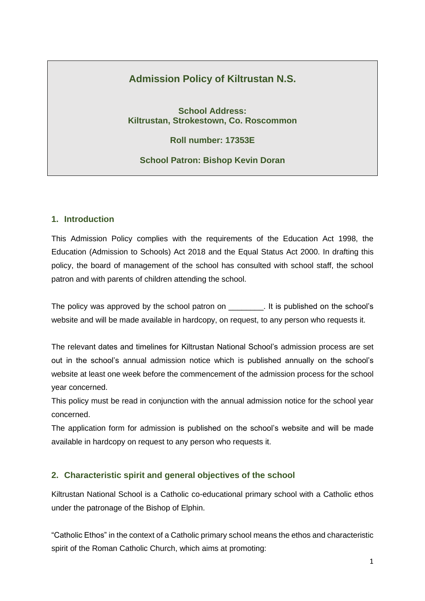# **Admission Policy of Kiltrustan N.S.**

**School Address: Kiltrustan, Strokestown, Co. Roscommon**

**Roll number: 17353E**

**School Patron: Bishop Kevin Doran**

### **1. Introduction**

This Admission Policy complies with the requirements of the Education Act 1998, the Education (Admission to Schools) Act 2018 and the Equal Status Act 2000. In drafting this policy, the board of management of the school has consulted with school staff, the school patron and with parents of children attending the school.

The policy was approved by the school patron on The school's . It is published on the school's website and will be made available in hardcopy, on request, to any person who requests it.

The relevant dates and timelines for Kiltrustan National School's admission process are set out in the school's annual admission notice which is published annually on the school's website at least one week before the commencement of the admission process for the school year concerned.

This policy must be read in conjunction with the annual admission notice for the school year concerned.

The application form for admission is published on the school's website and will be made available in hardcopy on request to any person who requests it.

### **2. Characteristic spirit and general objectives of the school**

Kiltrustan National School is a Catholic co-educational primary school with a Catholic ethos under the patronage of the Bishop of Elphin.

"Catholic Ethos" in the context of a Catholic primary school means the ethos and characteristic spirit of the Roman Catholic Church, which aims at promoting: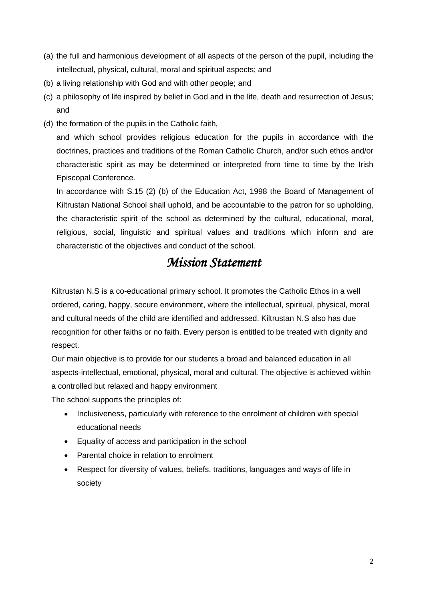- (a) the full and harmonious development of all aspects of the person of the pupil, including the intellectual, physical, cultural, moral and spiritual aspects; and
- (b) a living relationship with God and with other people; and
- (c) a philosophy of life inspired by belief in God and in the life, death and resurrection of Jesus; and
- (d) the formation of the pupils in the Catholic faith,

and which school provides religious education for the pupils in accordance with the doctrines, practices and traditions of the Roman Catholic Church, and/or such ethos and/or characteristic spirit as may be determined or interpreted from time to time by the Irish Episcopal Conference.

In accordance with S.15 (2) (b) of the Education Act, 1998 the Board of Management of Kiltrustan National School shall uphold, and be accountable to the patron for so upholding, the characteristic spirit of the school as determined by the cultural, educational, moral, religious, social, linguistic and spiritual values and traditions which inform and are characteristic of the objectives and conduct of the school.

# *Mission Statement*

Kiltrustan N.S is a co-educational primary school. It promotes the Catholic Ethos in a well ordered, caring, happy, secure environment, where the intellectual, spiritual, physical, moral and cultural needs of the child are identified and addressed. Kiltrustan N.S also has due recognition for other faiths or no faith. Every person is entitled to be treated with dignity and respect.

Our main objective is to provide for our students a broad and balanced education in all aspects-intellectual, emotional, physical, moral and cultural. The objective is achieved within a controlled but relaxed and happy environment

The school supports the principles of:

- Inclusiveness, particularly with reference to the enrolment of children with special educational needs
- Equality of access and participation in the school
- Parental choice in relation to enrolment
- Respect for diversity of values, beliefs, traditions, languages and ways of life in society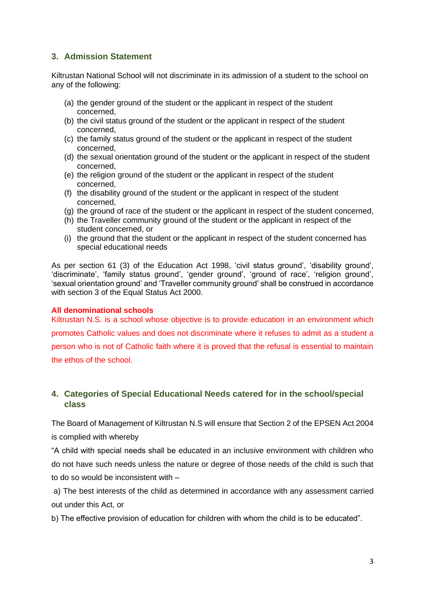# **3. Admission Statement**

Kiltrustan National School will not discriminate in its admission of a student to the school on any of the following:

- (a) the gender ground of the student or the applicant in respect of the student concerned,
- (b) the civil status ground of the student or the applicant in respect of the student concerned,
- (c) the family status ground of the student or the applicant in respect of the student concerned,
- (d) the sexual orientation ground of the student or the applicant in respect of the student concerned,
- (e) the religion ground of the student or the applicant in respect of the student concerned,
- (f) the disability ground of the student or the applicant in respect of the student concerned,
- (g) the ground of race of the student or the applicant in respect of the student concerned,
- (h) the Traveller community ground of the student or the applicant in respect of the student concerned, or
- (i) the ground that the student or the applicant in respect of the student concerned has special educational needs

As per section 61 (3) of the Education Act 1998, 'civil status ground', 'disability ground', 'discriminate', 'family status ground', 'gender ground', 'ground of race', 'religion ground', 'sexual orientation ground' and 'Traveller community ground' shall be construed in accordance with section 3 of the Equal Status Act 2000.

### **All denominational schools**

Kiltrustan N.S. is a school whose objective is to provide education in an environment which promotes Catholic values and does not discriminate where it refuses to admit as a student a person who is not of Catholic faith where it is proved that the refusal is essential to maintain the ethos of the school.

# **4. Categories of Special Educational Needs catered for in the school/special class**

The Board of Management of Kiltrustan N.S will ensure that Section 2 of the EPSEN Act 2004 is complied with whereby

"A child with special needs shall be educated in an inclusive environment with children who do not have such needs unless the nature or degree of those needs of the child is such that to do so would be inconsistent with –

a) The best interests of the child as determined in accordance with any assessment carried out under this Act, or

b) The effective provision of education for children with whom the child is to be educated".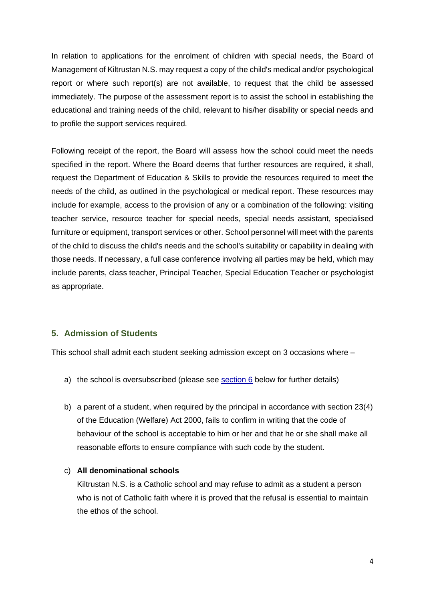In relation to applications for the enrolment of children with special needs, the Board of Management of Kiltrustan N.S. may request a copy of the child's medical and/or psychological report or where such report(s) are not available, to request that the child be assessed immediately. The purpose of the assessment report is to assist the school in establishing the educational and training needs of the child, relevant to his/her disability or special needs and to profile the support services required.

Following receipt of the report, the Board will assess how the school could meet the needs specified in the report. Where the Board deems that further resources are required, it shall, request the Department of Education & Skills to provide the resources required to meet the needs of the child, as outlined in the psychological or medical report. These resources may include for example, access to the provision of any or a combination of the following: visiting teacher service, resource teacher for special needs, special needs assistant, specialised furniture or equipment, transport services or other. School personnel will meet with the parents of the child to discuss the child's needs and the school's suitability or capability in dealing with those needs. If necessary, a full case conference involving all parties may be held, which may include parents, class teacher, Principal Teacher, Special Education Teacher or psychologist as appropriate.

### **5. Admission of Students**

This school shall admit each student seeking admission except on 3 occasions where –

- a) the school is oversubscribed (please see [section 6](#page-4-0) below for further details)
- b) a parent of a student, when required by the principal in accordance with section 23(4) of the Education (Welfare) Act 2000, fails to confirm in writing that the code of behaviour of the school is acceptable to him or her and that he or she shall make all reasonable efforts to ensure compliance with such code by the student.

### c) **All denominational schools**

Kiltrustan N.S. is a Catholic school and may refuse to admit as a student a person who is not of Catholic faith where it is proved that the refusal is essential to maintain the ethos of the school.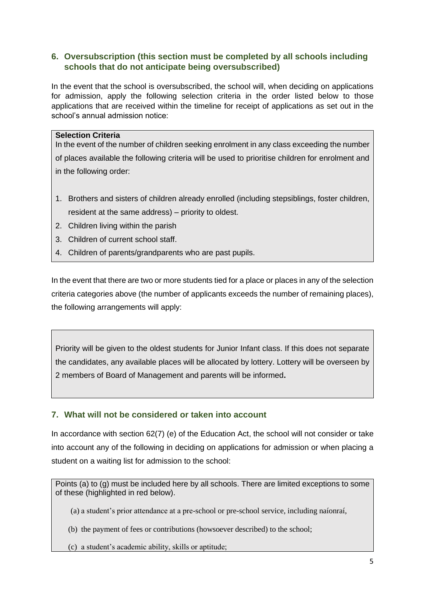# <span id="page-4-0"></span>**6. Oversubscription (this section must be completed by all schools including schools that do not anticipate being oversubscribed)**

In the event that the school is oversubscribed, the school will, when deciding on applications for admission, apply the following selection criteria in the order listed below to those applications that are received within the timeline for receipt of applications as set out in the school's annual admission notice:

### **Selection Criteria**

In the event of the number of children seeking enrolment in any class exceeding the number of places available the following criteria will be used to prioritise children for enrolment and in the following order:

- 1. Brothers and sisters of children already enrolled (including stepsiblings, foster children, resident at the same address) – priority to oldest.
- 2. Children living within the parish
- 3. Children of current school staff.
- 4. Children of parents/grandparents who are past pupils.

In the event that there are two or more students tied for a place or places in any of the selection criteria categories above (the number of applicants exceeds the number of remaining places), the following arrangements will apply:

Priority will be given to the oldest students for Junior Infant class. If this does not separate the candidates, any available places will be allocated by lottery. Lottery will be overseen by 2 members of Board of Management and parents will be informed**.** 

### **7. What will not be considered or taken into account**

In accordance with section 62(7) (e) of the Education Act, the school will not consider or take into account any of the following in deciding on applications for admission or when placing a student on a waiting list for admission to the school:

Points (a) to (g) must be included here by all schools. There are limited exceptions to some of these (highlighted in red below).

(a) a student's prior attendance at a pre-school or pre-school service, including naíonraí,

(b) the payment of fees or contributions (howsoever described) to the school;

(c) a student's academic ability, skills or aptitude;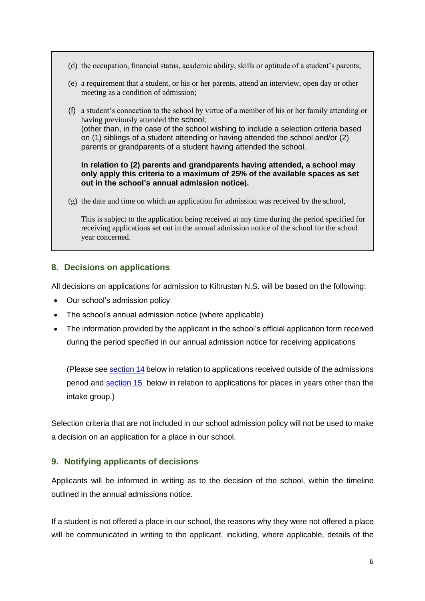- (d) the occupation, financial status, academic ability, skills or aptitude of a student's parents;
- (e) a requirement that a student, or his or her parents, attend an interview, open day or other meeting as a condition of admission;
- (f) a student's connection to the school by virtue of a member of his or her family attending or having previously attended the school; (other than, in the case of the school wishing to include a selection criteria based on (1) siblings of a student attending or having attended the school and/or (2) parents or grandparents of a student having attended the school.

**In relation to (2) parents and grandparents having attended, a school may only apply this criteria to a maximum of 25% of the available spaces as set out in the school's annual admission notice).**

(g) the date and time on which an application for admission was received by the school,

This is subject to the application being received at any time during the period specified for receiving applications set out in the annual admission notice of the school for the school year concerned.

### **8. Decisions on applications**

All decisions on applications for admission to Kiltrustan N.S. will be based on the following:

- Our school's admission policy
- The school's annual admission notice (where applicable)
- The information provided by the applicant in the school's official application form received during the period specified in our annual admission notice for receiving applications

(Please see [section 14](#page-8-0) below in relation to applications received outside of the admissions period and [section 15](#page-9-0) below in relation to applications for places in years other than the intake group.)

Selection criteria that are not included in our school admission policy will not be used to make a decision on an application for a place in our school.

### **9. Notifying applicants of decisions**

Applicants will be informed in writing as to the decision of the school, within the timeline outlined in the annual admissions notice.

If a student is not offered a place in our school, the reasons why they were not offered a place will be communicated in writing to the applicant, including, where applicable, details of the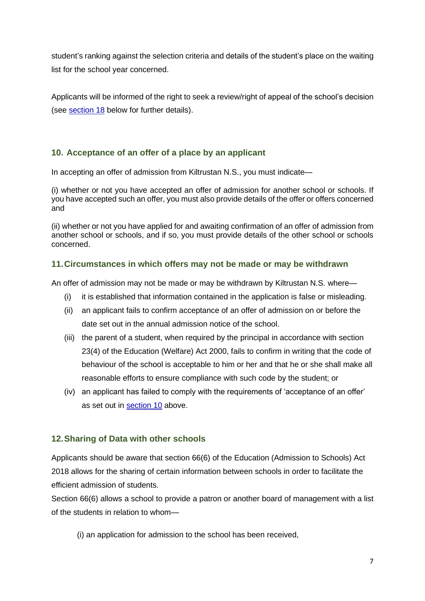student's ranking against the selection criteria and details of the student's place on the waiting list for the school year concerned.

Applicants will be informed of the right to seek a review/right of appeal of the school's decision (see [section 18](#page-10-0) below for further details).

# <span id="page-6-0"></span>**10. Acceptance of an offer of a place by an applicant**

In accepting an offer of admission from Kiltrustan N.S., you must indicate—

(i) whether or not you have accepted an offer of admission for another school or schools. If you have accepted such an offer, you must also provide details of the offer or offers concerned and

(ii) whether or not you have applied for and awaiting confirmation of an offer of admission from another school or schools, and if so, you must provide details of the other school or schools concerned.

# **11.Circumstances in which offers may not be made or may be withdrawn**

An offer of admission may not be made or may be withdrawn by Kiltrustan N.S. where—

- (i) it is established that information contained in the application is false or misleading.
- (ii) an applicant fails to confirm acceptance of an offer of admission on or before the date set out in the annual admission notice of the school.
- (iii) the parent of a student, when required by the principal in accordance with section 23(4) of the Education (Welfare) Act 2000, fails to confirm in writing that the code of behaviour of the school is acceptable to him or her and that he or she shall make all reasonable efforts to ensure compliance with such code by the student; or
- (iv) an applicant has failed to comply with the requirements of 'acceptance of an offer' as set out in [section 10](#page-6-0) above.

# **12.Sharing of Data with other schools**

Applicants should be aware that section 66(6) of the Education (Admission to Schools) Act 2018 allows for the sharing of certain information between schools in order to facilitate the efficient admission of students.

Section 66(6) allows a school to provide a patron or another board of management with a list of the students in relation to whom—

(i) an application for admission to the school has been received,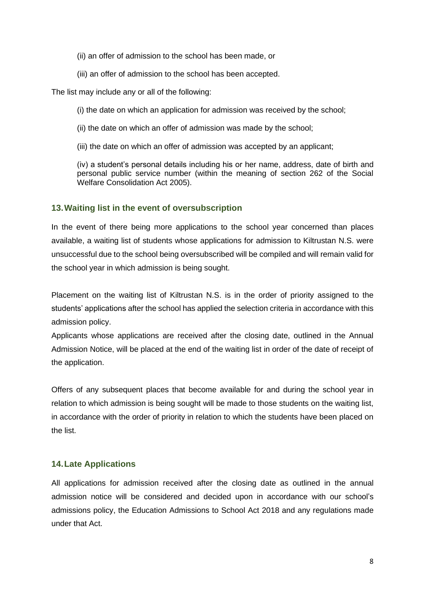- (ii) an offer of admission to the school has been made, or
- (iii) an offer of admission to the school has been accepted.

The list may include any or all of the following:

(i) the date on which an application for admission was received by the school;

- (ii) the date on which an offer of admission was made by the school;
- (iii) the date on which an offer of admission was accepted by an applicant;

(iv) a student's personal details including his or her name, address, date of birth and personal public service number (within the meaning of section 262 of the Social Welfare Consolidation Act 2005).

### **13.Waiting list in the event of oversubscription**

In the event of there being more applications to the school year concerned than places available, a waiting list of students whose applications for admission to Kiltrustan N.S. were unsuccessful due to the school being oversubscribed will be compiled and will remain valid for the school year in which admission is being sought.

Placement on the waiting list of Kiltrustan N.S. is in the order of priority assigned to the students' applications after the school has applied the selection criteria in accordance with this admission policy.

Applicants whose applications are received after the closing date, outlined in the Annual Admission Notice, will be placed at the end of the waiting list in order of the date of receipt of the application.

Offers of any subsequent places that become available for and during the school year in relation to which admission is being sought will be made to those students on the waiting list, in accordance with the order of priority in relation to which the students have been placed on the list.

### **14.Late Applications**

All applications for admission received after the closing date as outlined in the annual admission notice will be considered and decided upon in accordance with our school's admissions policy, the Education Admissions to School Act 2018 and any regulations made under that Act.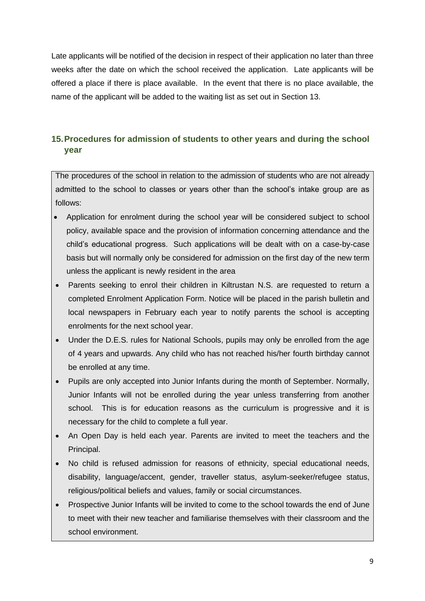Late applicants will be notified of the decision in respect of their application no later than three weeks after the date on which the school received the application. Late applicants will be offered a place if there is place available. In the event that there is no place available, the name of the applicant will be added to the waiting list as set out in Section 13.

# <span id="page-8-0"></span>**15.Procedures for admission of students to other years and during the school year**

The procedures of the school in relation to the admission of students who are not already admitted to the school to classes or years other than the school's intake group are as follows:

- Application for enrolment during the school year will be considered subject to school policy, available space and the provision of information concerning attendance and the child's educational progress. Such applications will be dealt with on a case-by-case basis but will normally only be considered for admission on the first day of the new term unless the applicant is newly resident in the area
- Parents seeking to enrol their children in Kiltrustan N.S. are requested to return a completed Enrolment Application Form. Notice will be placed in the parish bulletin and local newspapers in February each year to notify parents the school is accepting enrolments for the next school year.
- Under the D.E.S. rules for National Schools, pupils may only be enrolled from the age of 4 years and upwards. Any child who has not reached his/her fourth birthday cannot be enrolled at any time.
- Pupils are only accepted into Junior Infants during the month of September. Normally, Junior Infants will not be enrolled during the year unless transferring from another school. This is for education reasons as the curriculum is progressive and it is necessary for the child to complete a full year.
- An Open Day is held each year. Parents are invited to meet the teachers and the Principal.
- No child is refused admission for reasons of ethnicity, special educational needs, disability, language/accent, gender, traveller status, asylum-seeker/refugee status, religious/political beliefs and values, family or social circumstances.
- Prospective Junior Infants will be invited to come to the school towards the end of June to meet with their new teacher and familiarise themselves with their classroom and the school environment.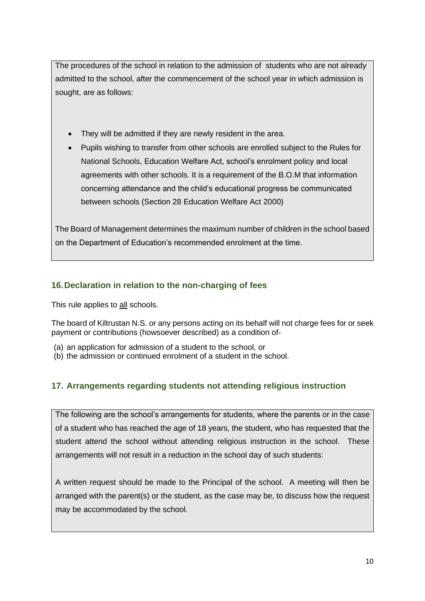The procedures of the school in relation to the admission of students who are not already admitted to the school, after the commencement of the school year in which admission is sought, are as follows:

- They will be admitted if they are newly resident in the area.
- Pupils wishing to transfer from other schools are enrolled subject to the Rules for National Schools, Education Welfare Act, school's enrolment policy and local agreements with other schools. It is a requirement of the B.O.M that information concerning attendance and the child's educational progress be communicated between schools (Section 28 Education Welfare Act 2000)

The Board of Management determines the maximum number of children in the school based on the Department of Education's recommended enrolment at the time.

# <span id="page-9-0"></span>**16.Declaration in relation to the non-charging of fees**

This rule applies to all schools.

The board of Kiltrustan N.S. or any persons acting on its behalf will not charge fees for or seek payment or contributions (howsoever described) as a condition of-

- (a) an application for admission of a student to the school, or
- (b) the admission or continued enrolment of a student in the school.

# **17. Arrangements regarding students not attending religious instruction**

The following are the school's arrangements for students, where the parents or in the case of a student who has reached the age of 18 years, the student, who has requested that the student attend the school without attending religious instruction in the school. These arrangements will not result in a reduction in the school day of such students:

A written request should be made to the Principal of the school. A meeting will then be arranged with the parent(s) or the student, as the case may be, to discuss how the request may be accommodated by the school.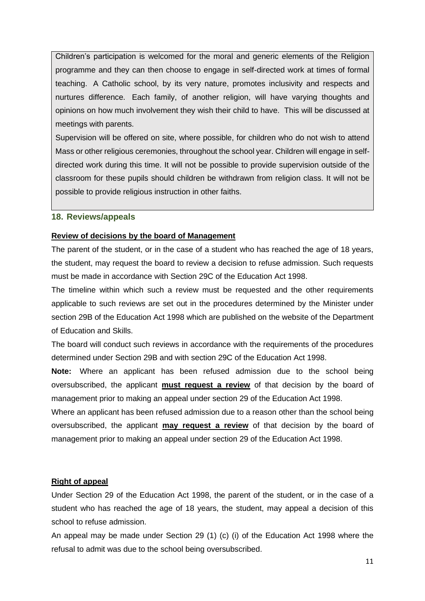Children's participation is welcomed for the moral and generic elements of the Religion programme and they can then choose to engage in self-directed work at times of formal teaching. A Catholic school, by its very nature, promotes inclusivity and respects and nurtures difference. Each family, of another religion, will have varying thoughts and opinions on how much involvement they wish their child to have. This will be discussed at meetings with parents.

Supervision will be offered on site, where possible, for children who do not wish to attend Mass or other religious ceremonies, throughout the school year. Children will engage in selfdirected work during this time. It will not be possible to provide supervision outside of the classroom for these pupils should children be withdrawn from religion class. It will not be possible to provide religious instruction in other faiths.

#### <span id="page-10-0"></span>**18. Reviews/appeals**

#### **Review of decisions by the board of Management**

The parent of the student, or in the case of a student who has reached the age of 18 years, the student, may request the board to review a decision to refuse admission. Such requests must be made in accordance with Section 29C of the Education Act 1998.

The timeline within which such a review must be requested and the other requirements applicable to such reviews are set out in the procedures determined by the Minister under section 29B of the Education Act 1998 which are published on the website of the Department of Education and Skills.

The board will conduct such reviews in accordance with the requirements of the procedures determined under Section 29B and with section 29C of the Education Act 1998.

**Note:** Where an applicant has been refused admission due to the school being oversubscribed, the applicant **must request a review** of that decision by the board of management prior to making an appeal under section 29 of the Education Act 1998.

Where an applicant has been refused admission due to a reason other than the school being oversubscribed, the applicant **may request a review** of that decision by the board of management prior to making an appeal under section 29 of the Education Act 1998.

#### **Right of appeal**

Under Section 29 of the Education Act 1998, the parent of the student, or in the case of a student who has reached the age of 18 years, the student, may appeal a decision of this school to refuse admission.

An appeal may be made under Section 29 (1) (c) (i) of the Education Act 1998 where the refusal to admit was due to the school being oversubscribed.